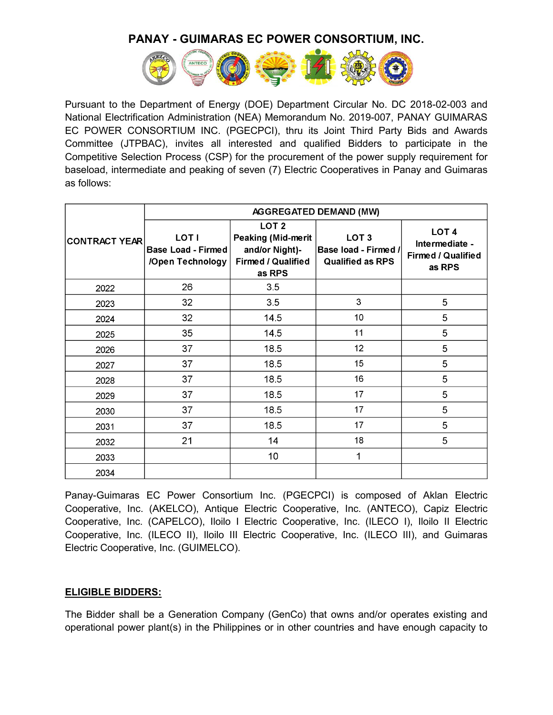

Pursuant to the Department of Energy (DOE) Department Circular No. DC 2018-02-003 and National Electrification Administration (NEA) Memorandum No. 2019-007, PANAY GUIMARAS EC POWER CONSORTIUM INC. (PGECPCI), thru its Joint Third Party Bids and Awards Committee (JTPBAC), invites all interested and qualified Bidders to participate in the Competitive Selection Process (CSP) for the procurement of the power supply requirement for baseload, intermediate and peaking of seven (7) Electric Cooperatives in Panay and Guimaras as follows:

|                      |                                                               |                                                                                                 | AGGREGATED DEMAND (MW)                                              |                                                                           |
|----------------------|---------------------------------------------------------------|-------------------------------------------------------------------------------------------------|---------------------------------------------------------------------|---------------------------------------------------------------------------|
| <b>CONTRACT YEAR</b> | <b>LOT I</b><br><b>Base Load - Firmed</b><br>/Open Technology | LOT <sub>2</sub><br>Peaking (Mid-merit<br>and/or Night)-<br><b>Firmed / Qualified</b><br>as RPS | LOT <sub>3</sub><br>Base load - Firmed /<br><b>Qualified as RPS</b> | LOT <sub>4</sub><br>Intermediate -<br><b>Firmed / Qualified</b><br>as RPS |
| 2022                 | 26                                                            | 3.5                                                                                             |                                                                     |                                                                           |
| 2023                 | 32                                                            | 3.5                                                                                             | 3                                                                   | 5                                                                         |
| 2024                 | 32                                                            | 14.5                                                                                            | 10                                                                  | 5                                                                         |
| 2025                 | 35                                                            | 14.5                                                                                            | 11                                                                  | 5                                                                         |
| 2026                 | 37                                                            | 18.5                                                                                            | 12                                                                  | 5                                                                         |
| 2027                 | 37                                                            | 18.5                                                                                            | 15                                                                  | 5                                                                         |
| 2028                 | 37                                                            | 18.5                                                                                            | 16                                                                  | 5                                                                         |
| 2029                 | 37                                                            | 18.5                                                                                            | 17                                                                  | 5                                                                         |
| 2030                 | 37                                                            | 18.5                                                                                            | 17                                                                  | 5                                                                         |
| 2031                 | 37                                                            | 18.5                                                                                            | 17                                                                  | 5                                                                         |
| 2032                 | 21                                                            | 14                                                                                              | 18                                                                  | 5                                                                         |
| 2033                 |                                                               | 10                                                                                              | $\mathbf{1}$                                                        |                                                                           |
| 2034                 |                                                               |                                                                                                 |                                                                     |                                                                           |

Panay-Guimaras EC Power Consortium Inc. (PGECPCI) is composed of Aklan Electric Cooperative, Inc. (AKELCO), Antique Electric Cooperative, Inc. (ANTECO), Capiz Electric Cooperative, Inc. (CAPELCO), Iloilo I Electric Cooperative, Inc. (ILECO I), Iloilo II Electric Cooperative, Inc. (ILECO II), Iloilo III Electric Cooperative, Inc. (ILECO III), and Guimaras Electric Cooperative, Inc. (GUIMELCO).

### **ELIGIBLE BIDDERS:**

The Bidder shall be a Generation Company (GenCo) that owns and/or operates existing and operational power plant(s) in the Philippines or in other countries and have enough capacity to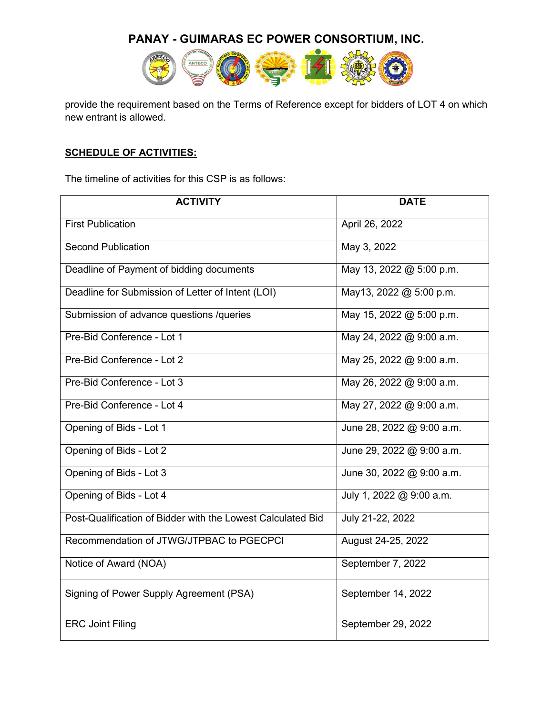

provide the requirement based on the Terms of Reference except for bidders of LOT 4 on which new entrant is allowed.

### **SCHEDULE OF ACTIVITIES:**

The timeline of activities for this CSP is as follows:

| <b>ACTIVITY</b>                                             | <b>DATE</b>               |
|-------------------------------------------------------------|---------------------------|
| <b>First Publication</b>                                    | April 26, 2022            |
| <b>Second Publication</b>                                   | May 3, 2022               |
| Deadline of Payment of bidding documents                    | May 13, 2022 @ 5:00 p.m.  |
| Deadline for Submission of Letter of Intent (LOI)           | May13, 2022 @ 5:00 p.m.   |
| Submission of advance questions /queries                    | May 15, 2022 @ 5:00 p.m.  |
| Pre-Bid Conference - Lot 1                                  | May 24, 2022 @ 9:00 a.m.  |
| Pre-Bid Conference - Lot 2                                  | May 25, 2022 @ 9:00 a.m.  |
| Pre-Bid Conference - Lot 3                                  | May 26, 2022 @ 9:00 a.m.  |
| Pre-Bid Conference - Lot 4                                  | May 27, 2022 @ 9:00 a.m.  |
| Opening of Bids - Lot 1                                     | June 28, 2022 @ 9:00 a.m. |
| Opening of Bids - Lot 2                                     | June 29, 2022 @ 9:00 a.m. |
| Opening of Bids - Lot 3                                     | June 30, 2022 @ 9:00 a.m. |
| Opening of Bids - Lot 4                                     | July 1, 2022 @ 9:00 a.m.  |
| Post-Qualification of Bidder with the Lowest Calculated Bid | July 21-22, 2022          |
| Recommendation of JTWG/JTPBAC to PGECPCI                    | August 24-25, 2022        |
| Notice of Award (NOA)                                       | September 7, 2022         |
| Signing of Power Supply Agreement (PSA)                     | September 14, 2022        |
| <b>ERC Joint Filing</b>                                     | September 29, 2022        |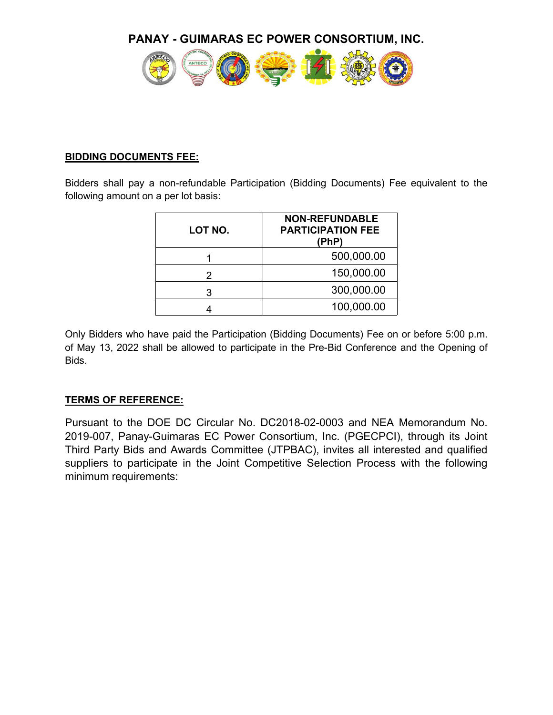

### **BIDDING DOCUMENTS FEE:**

Bidders shall pay a non-refundable Participation (Bidding Documents) Fee equivalent to the following amount on a per lot basis:

| LOT NO. | <b>NON-REFUNDABLE</b><br><b>PARTICIPATION FEE</b><br>(PhP) |
|---------|------------------------------------------------------------|
|         | 500,000.00                                                 |
|         | 150,000.00                                                 |
| 3       | 300,000.00                                                 |
|         | 100,000.00                                                 |

Only Bidders who have paid the Participation (Bidding Documents) Fee on or before 5:00 p.m. of May 13, 2022 shall be allowed to participate in the Pre-Bid Conference and the Opening of Bids.

### **TERMS OF REFERENCE:**

Pursuant to the DOE DC Circular No. DC2018-02-0003 and NEA Memorandum No. 2019-007, Panay-Guimaras EC Power Consortium, Inc. (PGECPCI), through its Joint Third Party Bids and Awards Committee (JTPBAC), invites all interested and qualified suppliers to participate in the Joint Competitive Selection Process with the following minimum requirements: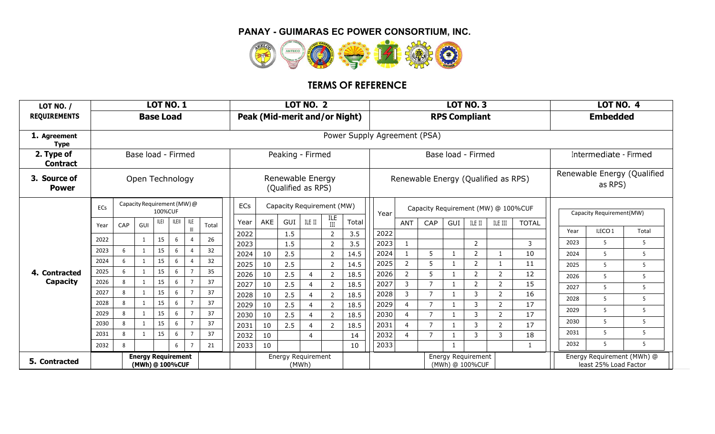

# **TERMS OF REFERENCE**

| <b>LOT NO. /</b>              |                 |              |                | <b>LOT NO. 1</b>                             |                      |       |              |                                                                               |                           | <b>LOT NO. 2</b> |                                  |                               |              |                                |                     |                                       | <b>LOT NO. 3</b>    |                                     |              |                          | <b>LOT NO. 4</b>      |                            |
|-------------------------------|-----------------|--------------|----------------|----------------------------------------------|----------------------|-------|--------------|-------------------------------------------------------------------------------|---------------------------|------------------|----------------------------------|-------------------------------|--------------|--------------------------------|---------------------|---------------------------------------|---------------------|-------------------------------------|--------------|--------------------------|-----------------------|----------------------------|
| <b>REQUIREMENTS</b>           |                 |              |                | <b>Base Load</b>                             |                      |       |              |                                                                               |                           |                  |                                  | Peak (Mid-merit and/or Night) |              |                                |                     | <b>RPS Compliant</b>                  |                     |                                     |              |                          | <b>Embedded</b>       |                            |
| 1. Agreement<br><b>Type</b>   |                 |              |                |                                              |                      |       |              |                                                                               |                           |                  |                                  | Power Supply Agreement (PSA)  |              |                                |                     |                                       |                     |                                     |              |                          |                       |                            |
| 2. Type of<br><b>Contract</b> |                 |              |                | Base load - Firmed                           |                      |       |              |                                                                               | Peaking - Firmed          |                  |                                  |                               |              |                                |                     | Base load - Firmed                    |                     |                                     |              |                          | Intermediate - Firmed |                            |
| 3. Source of<br><b>Power</b>  | Open Technology |              |                |                                              |                      |       |              | Renewable Energy<br>Renewable Energy (Qualified as RPS)<br>(Qualified as RPS) |                           |                  |                                  |                               | as RPS)      | Renewable Energy (Qualified    |                     |                                       |                     |                                     |              |                          |                       |                            |
|                               | ECs             |              |                | Capacity Requirement (MW) @<br>100%CUF       |                      |       | ECs          |                                                                               | Capacity Requirement (MW) |                  |                                  |                               | Year         |                                |                     |                                       |                     | Capacity Requirement (MW) @ 100%CUF |              | Capacity Requirement(MW) |                       |                            |
|                               | Year            | CAP          | GUI            | LEI                                          | <b>ILEIL</b><br>ILE. | Total | Year         | AKE                                                                           | GUI                       | ILE II           | ILE                              | Total                         |              | <b>ANT</b>                     | CAP                 | GUI                                   | ILE II              | ILE III                             | <b>TOTAL</b> |                          |                       |                            |
|                               | 2022            |              | $\mathbf{1}$   | 15                                           | 6                    | 26    | 2022         |                                                                               | 1.5                       |                  |                                  | 3.5                           | 2022         |                                |                     |                                       |                     |                                     |              | Year                     | ILECO <sub>1</sub>    | Total                      |
|                               | 2023            | 6            | $\mathbf{1}$   | 15                                           | 6                    | 32    | 2023         |                                                                               | 1.5                       |                  | $\overline{2}$                   | 3.5                           | 2023         | $\overline{1}$                 |                     |                                       | $\overline{2}$      |                                     | 3            | 2023                     | $\overline{5}$        | 5                          |
|                               | 2024            | 6            | 1              | 15                                           | 6                    | 32    | 2024         | 10                                                                            | 2.5                       |                  | $\overline{2}$                   | 14.5                          | 2024         |                                | 5                   |                                       | $\overline{2}$      |                                     | 10           | 2024                     | -5                    | 5                          |
| 4. Contracted                 | 2025            |              |                | 15                                           |                      | 35    | 2025         | 10                                                                            | 2.5                       |                  | 2                                | 14.5                          | 2025         | 2                              | .5                  |                                       | 2                   |                                     | 11           | 2025                     | -5                    | 5                          |
| Capacity                      | 2026            |              | $\mathbf{1}$   | 15                                           |                      | 37    | 2026         | 10                                                                            | 2.5                       |                  | 2                                | 18.5                          | 2026<br>2027 | $\overline{2}$<br>$\mathbf{3}$ | 5<br>$\overline{7}$ |                                       | 2                   | 2                                   | 12<br>15     | 2026                     | -5                    | 5                          |
|                               | 2027            | $\mathbf{g}$ | $\mathbf{1}$   | 15                                           |                      | 37    | 2027<br>2028 | 10<br>10                                                                      | 2.5<br>2.5                |                  | $\overline{2}$<br>$\overline{2}$ | 18.5<br>18.5                  | 2028         | $\mathsf{3}$                   | $\overline{7}$      |                                       | $\overline{2}$<br>3 | $\overline{2}$<br>$\overline{2}$    | 16           | 2027                     | -5                    | 5                          |
|                               | 2028            |              | 1              | 15                                           | 6                    | 37    | 2029         | 10                                                                            | 2.5                       |                  | 2                                | 18.5                          | 2029         | $\Delta$                       | $\overline{7}$      |                                       | $\mathbf{3}$        | 2                                   | 17           | 2028                     | -5                    | 5                          |
|                               | 2029            | $\mathbf{g}$ | $\overline{1}$ | 15                                           | 6                    | 37    | 2030         | 10                                                                            | 2.5                       |                  | 2                                | 18.5                          | 2030         |                                | $\overline{z}$      |                                       | 3                   | $\overline{2}$                      | 17           | 2029                     | -5                    | 5                          |
|                               | 2030            | 8            | 1              | 15                                           | 6                    | 37    | 2031         | 10                                                                            | 2.5                       |                  | 2                                | 18.5                          | 2031         |                                | 7                   |                                       | 3                   | $\mathcal{L}$                       | 17           | 2030                     | -5                    | 5                          |
|                               | 2031            | 8            | 1              | 15                                           | 6                    | 37    | 2032         | 10                                                                            |                           | Δ                |                                  | 14                            | 2032         |                                |                     |                                       | 3                   | २                                   | 18           | 2031                     | -5                    | 5                          |
|                               | 2032            | 8            |                |                                              | 6                    | 21    | 2033         | 10                                                                            |                           |                  |                                  | 10                            | 2033         |                                |                     | $\overline{1}$                        |                     |                                     | -1           | 2032                     | -5                    | 5                          |
| 5. Contracted                 |                 |              |                | <b>Energy Requirement</b><br>(MWh) @ 100%CUF |                      |       |              |                                                                               | Energy Requirement        | (MWh)            |                                  |                               |              |                                |                     | Energy Requirement<br>(MWh) @ 100%CUF |                     |                                     |              |                          | least 25% Load Factor | Energy Requirement (MWh) @ |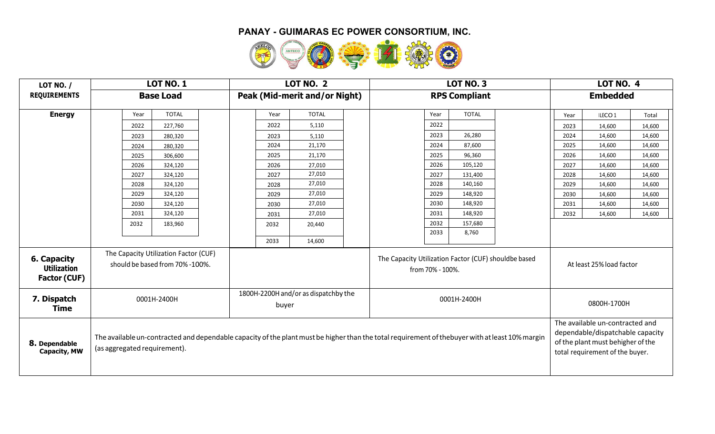

| <b>LOT NO. /</b>                                         | <b>LOT NO. 1</b>                                                         | <b>LOT NO. 2</b>                              | <b>LOT NO. 3</b>                                                                                                                                | LOT NO. 4                                                                                                                                   |
|----------------------------------------------------------|--------------------------------------------------------------------------|-----------------------------------------------|-------------------------------------------------------------------------------------------------------------------------------------------------|---------------------------------------------------------------------------------------------------------------------------------------------|
| <b>REQUIREMENTS</b>                                      | <b>Base Load</b>                                                         | Peak (Mid-merit and/or Night)                 | <b>RPS Compliant</b>                                                                                                                            | <b>Embedded</b>                                                                                                                             |
| <b>Energy</b>                                            | <b>TOTAL</b><br>Year                                                     | <b>TOTAL</b><br>Year                          | <b>TOTAL</b><br>Year                                                                                                                            | ILECO <sub>1</sub><br>Total<br>Year                                                                                                         |
|                                                          | 2022<br>227,760                                                          | 2022<br>5,110                                 | 2022                                                                                                                                            | 2023<br>14,600<br>14,600                                                                                                                    |
|                                                          | 280,320<br>2023                                                          | 2023<br>5,110                                 | 2023<br>26,280                                                                                                                                  | 2024<br>14,600<br>14,600                                                                                                                    |
|                                                          | 280,320<br>2024                                                          | 2024<br>21,170                                | 2024<br>87,600                                                                                                                                  | 2025<br>14,600<br>14,600                                                                                                                    |
|                                                          | 2025<br>306,600                                                          | 21,170<br>2025                                | 2025<br>96,360                                                                                                                                  | 2026<br>14,600<br>14,600                                                                                                                    |
|                                                          | 2026<br>324,120                                                          | 2026<br>27,010                                | 2026<br>105,120                                                                                                                                 | 2027<br>14,600<br>14,600                                                                                                                    |
|                                                          | 2027<br>324,120                                                          | 27,010<br>2027                                | 2027<br>131,400                                                                                                                                 | 2028<br>14,600<br>14,600                                                                                                                    |
|                                                          | 2028<br>324,120                                                          | 27,010<br>2028                                | 2028<br>140,160                                                                                                                                 | 2029<br>14,600<br>14,600                                                                                                                    |
|                                                          | 2029<br>324,120                                                          | 27,010<br>2029                                | 2029<br>148,920                                                                                                                                 | 2030<br>14,600<br>14,600                                                                                                                    |
|                                                          | 2030<br>324,120                                                          | 27,010<br>2030                                | 2030<br>148,920                                                                                                                                 | 2031<br>14,600<br>14,600                                                                                                                    |
|                                                          | 2031<br>324,120                                                          | 27,010<br>2031                                | 2031<br>148,920                                                                                                                                 | 2032<br>14,600<br>14,600                                                                                                                    |
|                                                          | 2032<br>183,960                                                          | 2032<br>20,440                                | 2032<br>157,680                                                                                                                                 |                                                                                                                                             |
|                                                          |                                                                          |                                               | 8,760<br>2033                                                                                                                                   |                                                                                                                                             |
|                                                          |                                                                          | 14,600<br>2033                                |                                                                                                                                                 |                                                                                                                                             |
| 6. Capacity<br><b>Utilization</b><br><b>Factor (CUF)</b> | The Capacity Utilization Factor (CUF)<br>should be based from 70% -100%. |                                               | The Capacity Utilization Factor (CUF) shouldbe based<br>from 70% - 100%.                                                                        | At least 25% load factor                                                                                                                    |
| 7. Dispatch<br><b>Time</b>                               | 0001H-2400H                                                              | 1800H-2200H and/or as dispatchby the<br>buyer | 0001H-2400H                                                                                                                                     | 0800H-1700H                                                                                                                                 |
| 8. Dependable<br><b>Capacity, MW</b>                     | (as aggregated requirement).                                             |                                               | The available un-contracted and dependable capacity of the plant must be higher than the total requirement of thebuyer with at least 10% margin | The available un-contracted and<br>dependable/dispatchable capacity<br>of the plant must behigher of the<br>total requirement of the buyer. |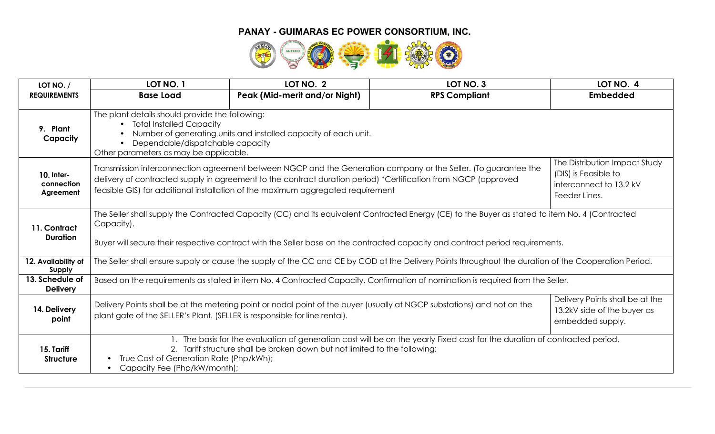

| LOT NO. /                             | LOT NO. 1                                                                                                                                                   | LOT NO. 2                                                                                                                                                                                                                                                                                                            | LOT NO. 3                                                                                                                                            | LOT NO. 4                                                                                         |
|---------------------------------------|-------------------------------------------------------------------------------------------------------------------------------------------------------------|----------------------------------------------------------------------------------------------------------------------------------------------------------------------------------------------------------------------------------------------------------------------------------------------------------------------|------------------------------------------------------------------------------------------------------------------------------------------------------|---------------------------------------------------------------------------------------------------|
| <b>REQUIREMENTS</b>                   | <b>Base Load</b>                                                                                                                                            | <b>Peak (Mid-merit and/or Night)</b>                                                                                                                                                                                                                                                                                 | <b>RPS Compliant</b>                                                                                                                                 | <b>Embedded</b>                                                                                   |
| 9. Plant<br>Capacity                  | The plant details should provide the following:<br>• Total Installed Capacity<br>Dependable/dispatchable capacity<br>Other parameters as may be applicable. | Number of generating units and installed capacity of each unit.                                                                                                                                                                                                                                                      |                                                                                                                                                      |                                                                                                   |
| 10. Inter-<br>connection<br>Agreement |                                                                                                                                                             | Transmission interconnection agreement between NGCP and the Generation company or the Seller. (To guarantee the<br>delivery of contracted supply in agreement to the contract duration period) *Certification from NGCP (approved<br>feasible GIS) for additional installation of the maximum aggregated requirement |                                                                                                                                                      | The Distribution Impact Study<br>(DIS) is Feasible to<br>interconnect to 13.2 kV<br>Feeder Lines. |
| 11. Contract<br><b>Duration</b>       | Capacity).                                                                                                                                                  |                                                                                                                                                                                                                                                                                                                      | The Seller shall supply the Contracted Capacity (CC) and its equivalent Contracted Energy (CE) to the Buyer as stated to item No. 4 (Contracted      |                                                                                                   |
|                                       |                                                                                                                                                             |                                                                                                                                                                                                                                                                                                                      | Buyer will secure their respective contract with the Seller base on the contracted capacity and contract period requirements.                        |                                                                                                   |
| 12. Availability of<br>Supply         |                                                                                                                                                             |                                                                                                                                                                                                                                                                                                                      | The Seller shall ensure supply or cause the supply of the CC and CE by COD at the Delivery Points throughout the duration of the Cooperation Period. |                                                                                                   |
| 13. Schedule of<br><b>Delivery</b>    |                                                                                                                                                             |                                                                                                                                                                                                                                                                                                                      | Based on the requirements as stated in item No. 4 Contracted Capacity. Confirmation of nomination is required from the Seller.                       |                                                                                                   |
| 14. Delivery<br>point                 |                                                                                                                                                             | Delivery Points shall be at the metering point or nodal point of the buyer (usually at NGCP substations) and not on the<br>plant gate of the SELLER's Plant. (SELLER is responsible for line rental).                                                                                                                |                                                                                                                                                      | Delivery Points shall be at the<br>13.2kV side of the buyer as<br>embedded supply.                |
| 15. Tariff<br><b>Structure</b>        | • True Cost of Generation Rate (Php/kWh);<br>• Capacity Fee (Php/kW/month);                                                                                 | 2. Tariff structure shall be broken down but not limited to the following:                                                                                                                                                                                                                                           | The basis for the evaluation of generation cost will be on the yearly Fixed cost for the duration of contracted period.                              |                                                                                                   |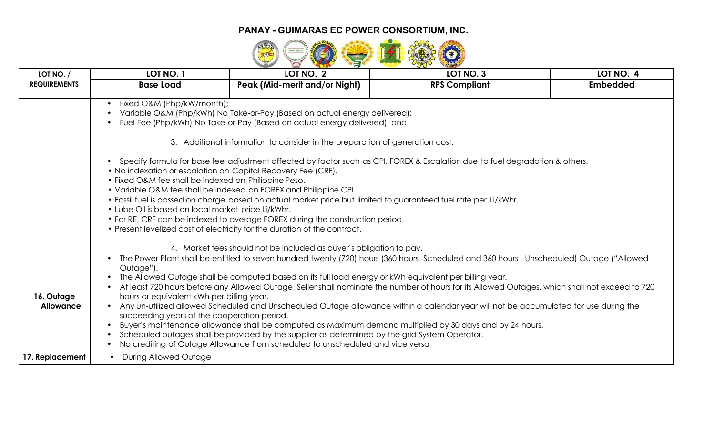

| LOT NO. $/$         | LOT NO. 1                                                        | LOT NO. 2                                                                                                                                                  | LOT NO. 3                                                                                                                                      | LOT NO. 4       |  |  |  |  |  |
|---------------------|------------------------------------------------------------------|------------------------------------------------------------------------------------------------------------------------------------------------------------|------------------------------------------------------------------------------------------------------------------------------------------------|-----------------|--|--|--|--|--|
| <b>REQUIREMENTS</b> | <b>Base Load</b>                                                 | Peak (Mid-merit and/or Night)                                                                                                                              | <b>RPS Compliant</b>                                                                                                                           | <b>Embedded</b> |  |  |  |  |  |
|                     | Fixed O&M (Php/kW/month);                                        |                                                                                                                                                            |                                                                                                                                                |                 |  |  |  |  |  |
|                     |                                                                  | Variable O&M (Php/kWh) No Take-or-Pay (Based on actual energy delivered);                                                                                  |                                                                                                                                                |                 |  |  |  |  |  |
|                     |                                                                  | Fuel Fee (Php/kWh) No Take-or-Pay (Based on actual energy delivered); and                                                                                  |                                                                                                                                                |                 |  |  |  |  |  |
|                     |                                                                  |                                                                                                                                                            |                                                                                                                                                |                 |  |  |  |  |  |
|                     |                                                                  | 3. Additional information to consider in the preparation of generation cost:                                                                               |                                                                                                                                                |                 |  |  |  |  |  |
|                     |                                                                  |                                                                                                                                                            | Specify formula for base fee adjustment affected by factor such as CPI, FOREX & Escalation due to fuel degradation & others.                   |                 |  |  |  |  |  |
|                     | • No indexation or escalation on Capital Recovery Fee (CRF).     |                                                                                                                                                            |                                                                                                                                                |                 |  |  |  |  |  |
|                     | • Fixed O&M fee shall be indexed on Philippine Peso.             |                                                                                                                                                            |                                                                                                                                                |                 |  |  |  |  |  |
|                     | • Variable O&M fee shall be indexed on FOREX and Philippine CPI. |                                                                                                                                                            |                                                                                                                                                |                 |  |  |  |  |  |
|                     |                                                                  | . Fossil fuel is passed on charge based on actual market price but limited to guaranteed fuel rate per Li/kWhr.                                            |                                                                                                                                                |                 |  |  |  |  |  |
|                     | • Lube Oil is based on local market price Li/kWhr.               |                                                                                                                                                            |                                                                                                                                                |                 |  |  |  |  |  |
|                     |                                                                  | • For RE, CRF can be indexed to average FOREX during the construction period.<br>• Present levelized cost of electricity for the duration of the contract. |                                                                                                                                                |                 |  |  |  |  |  |
|                     |                                                                  |                                                                                                                                                            |                                                                                                                                                |                 |  |  |  |  |  |
|                     |                                                                  | 4. Market fees should not be included as buyer's obligation to pay.                                                                                        |                                                                                                                                                |                 |  |  |  |  |  |
|                     | $\bullet$<br>Outage").                                           |                                                                                                                                                            | The Power Plant shall be entitled to seven hundred twenty (720) hours (360 hours -Scheduled and 360 hours - Unscheduled) Outage ("Allowed      |                 |  |  |  |  |  |
|                     |                                                                  | The Allowed Outage shall be computed based on its full load energy or kWh equivalent per billing year.                                                     |                                                                                                                                                |                 |  |  |  |  |  |
|                     |                                                                  |                                                                                                                                                            | At least 720 hours before any Allowed Outage, Seller shall nominate the number of hours for its Allowed Outages, which shall not exceed to 720 |                 |  |  |  |  |  |
| 16. Outage          | hours or equivalent kWh per billing year.                        |                                                                                                                                                            |                                                                                                                                                |                 |  |  |  |  |  |
| <b>Allowance</b>    |                                                                  |                                                                                                                                                            | • Any un-utilized allowed Scheduled and Unscheduled Outage allowance within a calendar year will not be accumulated for use during the         |                 |  |  |  |  |  |
|                     | succeeding years of the cooperation period.                      |                                                                                                                                                            | Buyer's maintenance allowance shall be computed as Maximum demand multiplied by 30 days and by 24 hours.                                       |                 |  |  |  |  |  |
|                     |                                                                  | Scheduled outages shall be provided by the supplier as determined by the grid System Operator.                                                             |                                                                                                                                                |                 |  |  |  |  |  |
|                     |                                                                  | No crediting of Outage Allowance from scheduled to unscheduled and vice versa                                                                              |                                                                                                                                                |                 |  |  |  |  |  |
| 17. Replacement     | • During Allowed Outage                                          |                                                                                                                                                            |                                                                                                                                                |                 |  |  |  |  |  |
|                     |                                                                  |                                                                                                                                                            |                                                                                                                                                |                 |  |  |  |  |  |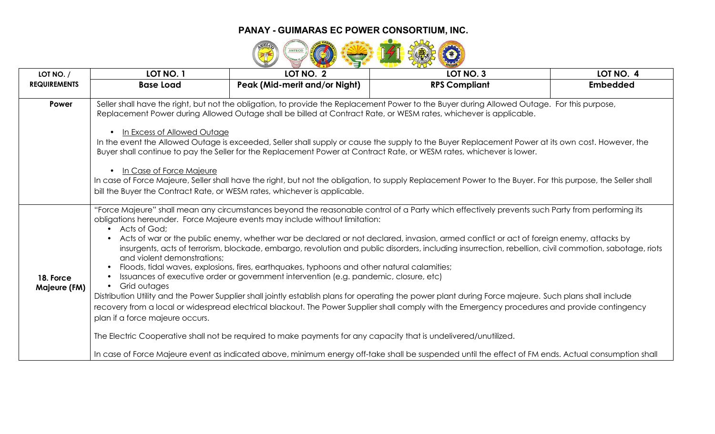

| LOT NO. /                 | LOT NO. 1                                                                                                                                 | LOT NO. 2                                                                                                                                                                                                                                                           | LOT NO. 3                                                                                                                                                                                                                                                                                                                                                                                                                                                                                                                                                                                                                                                                                                                                                                                                                                                                                                                                                                                                                                  | LOT NO. 4       |
|---------------------------|-------------------------------------------------------------------------------------------------------------------------------------------|---------------------------------------------------------------------------------------------------------------------------------------------------------------------------------------------------------------------------------------------------------------------|--------------------------------------------------------------------------------------------------------------------------------------------------------------------------------------------------------------------------------------------------------------------------------------------------------------------------------------------------------------------------------------------------------------------------------------------------------------------------------------------------------------------------------------------------------------------------------------------------------------------------------------------------------------------------------------------------------------------------------------------------------------------------------------------------------------------------------------------------------------------------------------------------------------------------------------------------------------------------------------------------------------------------------------------|-----------------|
| <b>REQUIREMENTS</b>       | <b>Base Load</b>                                                                                                                          | Peak (Mid-merit and/or Night)                                                                                                                                                                                                                                       | <b>RPS Compliant</b>                                                                                                                                                                                                                                                                                                                                                                                                                                                                                                                                                                                                                                                                                                                                                                                                                                                                                                                                                                                                                       | <b>Embedded</b> |
| Power                     | • In Excess of Allowed Outage<br>• In Case of Force Majeure                                                                               | bill the Buyer the Contract Rate, or WESM rates, whichever is applicable.                                                                                                                                                                                           | Seller shall have the right, but not the obligation, to provide the Replacement Power to the Buyer during Allowed Outage. For this purpose,<br>Replacement Power during Allowed Outage shall be billed at Contract Rate, or WESM rates, whichever is applicable.<br>In the event the Allowed Outage is exceeded, Seller shall supply or cause the supply to the Buyer Replacement Power at its own cost. However, the<br>Buyer shall continue to pay the Seller for the Replacement Power at Contract Rate, or WESM rates, whichever is lower.<br>In case of Force Majeure, Seller shall have the right, but not the obligation, to supply Replacement Power to the Buyer. For this purpose, the Seller shall                                                                                                                                                                                                                                                                                                                              |                 |
| 18. Force<br>Majeure (FM) | • Acts of God;<br>$\bullet$<br>and violent demonstrations:<br>$\bullet$<br>$\bullet$<br>• Grid outages<br>plan if a force majeure occurs. | obligations hereunder. Force Majeure events may include without limitation:<br>Floods, tidal waves, explosions, fires, earthquakes, typhoons and other natural calamities;<br>Issuances of executive order or government intervention (e.g. pandemic, closure, etc) | "Force Majeure" shall mean any circumstances beyond the reasonable control of a Party which effectively prevents such Party from performing its<br>Acts of war or the public enemy, whether war be declared or not declared, invasion, armed conflict or act of foreign enemy, attacks by<br>insurgents, acts of terrorism, blockade, embargo, revolution and public disorders, including insurrection, rebellion, civil commotion, sabotage, riots<br>Distribution Utility and the Power Supplier shall jointly establish plans for operating the power plant during Force majeure. Such plans shall include<br>recovery from a local or widespread electrical blackout. The Power Supplier shall comply with the Emergency procedures and provide contingency<br>The Electric Cooperative shall not be required to make payments for any capacity that is undelivered/unutilized.<br>In case of Force Majeure event as indicated above, minimum energy off-take shall be suspended until the effect of FM ends. Actual consumption shall |                 |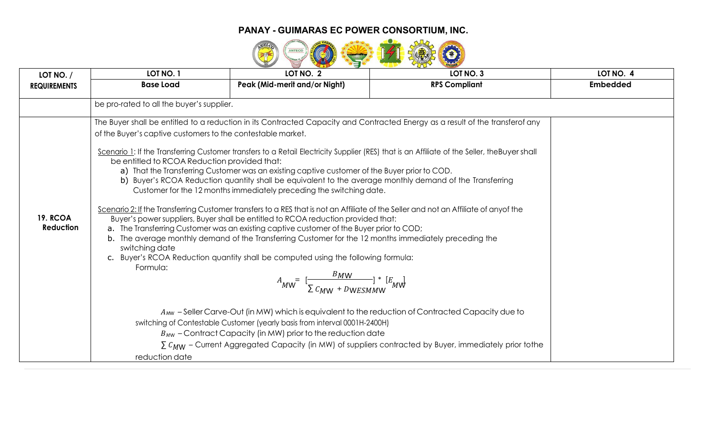

| LOT NO. /                           | LOT NO. 1                                                                                                                                      | LOT NO. 2                                                                                                                                                                                                                                                                                                                                                                                                                                                                                                                                                                                                           | LOT NO. 3                                                                                                                                                                                                                                                                                                                                                                                         | LOT NO. 4       |  |  |  |  |  |
|-------------------------------------|------------------------------------------------------------------------------------------------------------------------------------------------|---------------------------------------------------------------------------------------------------------------------------------------------------------------------------------------------------------------------------------------------------------------------------------------------------------------------------------------------------------------------------------------------------------------------------------------------------------------------------------------------------------------------------------------------------------------------------------------------------------------------|---------------------------------------------------------------------------------------------------------------------------------------------------------------------------------------------------------------------------------------------------------------------------------------------------------------------------------------------------------------------------------------------------|-----------------|--|--|--|--|--|
| <b>REQUIREMENTS</b>                 | <b>Base Load</b>                                                                                                                               | Peak (Mid-merit and/or Night)                                                                                                                                                                                                                                                                                                                                                                                                                                                                                                                                                                                       | <b>RPS Compliant</b>                                                                                                                                                                                                                                                                                                                                                                              | <b>Embedded</b> |  |  |  |  |  |
|                                     | be pro-rated to all the buyer's supplier.                                                                                                      |                                                                                                                                                                                                                                                                                                                                                                                                                                                                                                                                                                                                                     |                                                                                                                                                                                                                                                                                                                                                                                                   |                 |  |  |  |  |  |
|                                     | of the Buyer's captive customers to the contestable market.                                                                                    |                                                                                                                                                                                                                                                                                                                                                                                                                                                                                                                                                                                                                     | The Buyer shall be entitled to a reduction in its Contracted Capacity and Contracted Energy as a result of the transferof any                                                                                                                                                                                                                                                                     |                 |  |  |  |  |  |
| <b>19. RCOA</b><br><b>Reduction</b> | be entitled to RCOA Reduction provided that:<br>switching date<br>Formula:                                                                     | a) That the Transferring Customer was an existing captive customer of the Buyer prior to COD.<br>Customer for the 12 months immediately preceding the switching date.<br>Buyer's power suppliers, Buyer shall be entitled to RCOA reduction provided that:<br>a. The Transferring Customer was an existing captive customer of the Buyer prior to COD;<br>b. The average monthly demand of the Transferring Customer for the 12 months immediately preceding the<br>c. Buyer's RCOA Reduction quantity shall be computed using the following formula:<br>$A_{MW} = \frac{BMW}{\sum_{MML} F_{MMESMMM}}$ $*$ $E_{MW}$ | Scenario 1: If the Transferring Customer transfers to a Retail Electricity Supplier (RES) that is an Affiliate of the Seller, the Buyer shall<br>b) Buyer's RCOA Reduction quantity shall be equivalent to the average monthly demand of the Transferring<br>Scenario 2: If the Transferring Customer transfers to a RES that is not an Affiliate of the Seller and not an Affiliate of anyof the |                 |  |  |  |  |  |
|                                     |                                                                                                                                                | A <sub>MW</sub> -Seller Carve-Out (in MW) which is equivalent to the reduction of Contracted Capacity due to                                                                                                                                                                                                                                                                                                                                                                                                                                                                                                        |                                                                                                                                                                                                                                                                                                                                                                                                   |                 |  |  |  |  |  |
|                                     | switching of Contestable Customer (yearly basis from interval 0001H-2400H)<br>$B_{MW}$ – Contract Capacity (in MW) prior to the reduction date |                                                                                                                                                                                                                                                                                                                                                                                                                                                                                                                                                                                                                     |                                                                                                                                                                                                                                                                                                                                                                                                   |                 |  |  |  |  |  |
|                                     |                                                                                                                                                |                                                                                                                                                                                                                                                                                                                                                                                                                                                                                                                                                                                                                     | $\sum$ $C_{MW}$ – Current Aggregated Capacity (in MW) of suppliers contracted by Buyer, immediately prior tothe                                                                                                                                                                                                                                                                                   |                 |  |  |  |  |  |
|                                     | reduction date                                                                                                                                 |                                                                                                                                                                                                                                                                                                                                                                                                                                                                                                                                                                                                                     |                                                                                                                                                                                                                                                                                                                                                                                                   |                 |  |  |  |  |  |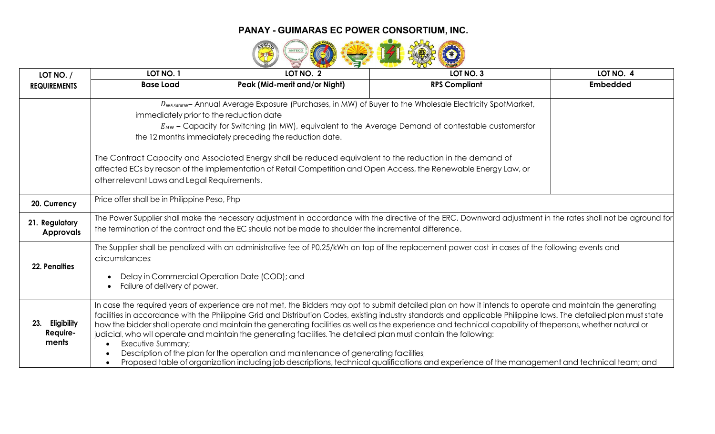

| LOT NO. /               | LOT NO. 1                                    | LOT NO. 2                                                                                                        | LOT NO. 3                                                                                                                                                          | LOT NO. 4       |  |  |  |  |
|-------------------------|----------------------------------------------|------------------------------------------------------------------------------------------------------------------|--------------------------------------------------------------------------------------------------------------------------------------------------------------------|-----------------|--|--|--|--|
| <b>REQUIREMENTS</b>     | <b>Base Load</b>                             | Peak (Mid-merit and/or Night)                                                                                    | <b>RPS Compliant</b>                                                                                                                                               | <b>Embedded</b> |  |  |  |  |
|                         |                                              |                                                                                                                  | DWESMMW-Annual Average Exposure (Purchases, in MW) of Buyer to the Wholesale Electricity SpotMarket,                                                               |                 |  |  |  |  |
|                         |                                              | immediately prior to the reduction date                                                                          |                                                                                                                                                                    |                 |  |  |  |  |
|                         |                                              |                                                                                                                  | $E_{MW}$ – Capacity for Switching (in MW), equivalent to the Average Demand of contestable customersfor                                                            |                 |  |  |  |  |
|                         |                                              | the 12 months immediately preceding the reduction date.                                                          |                                                                                                                                                                    |                 |  |  |  |  |
|                         |                                              | The Contract Capacity and Associated Energy shall be reduced equivalent to the reduction in the demand of        |                                                                                                                                                                    |                 |  |  |  |  |
|                         |                                              | affected ECs by reason of the implementation of Retail Competition and Open Access, the Renewable Energy Law, or |                                                                                                                                                                    |                 |  |  |  |  |
|                         | other relevant Laws and Legal Requirements.  |                                                                                                                  |                                                                                                                                                                    |                 |  |  |  |  |
| 20. Currency            | Price offer shall be in Philippine Peso, Php |                                                                                                                  |                                                                                                                                                                    |                 |  |  |  |  |
| 21. Regulatory          |                                              |                                                                                                                  | The Power Supplier shall make the necessary adjustment in accordance with the directive of the ERC. Downward adjustment in the rates shall not be aground for      |                 |  |  |  |  |
| <b>Approvals</b>        |                                              | the termination of the contract and the EC should not be made to shoulder the incremental difference.            |                                                                                                                                                                    |                 |  |  |  |  |
|                         |                                              |                                                                                                                  | The Supplier shall be penalized with an administrative fee of P0.25/kWh on top of the replacement power cost in cases of the following events and                  |                 |  |  |  |  |
| 22. Penalties           | circumstances:                               |                                                                                                                  |                                                                                                                                                                    |                 |  |  |  |  |
|                         |                                              | Delay in Commercial Operation Date (COD); and                                                                    |                                                                                                                                                                    |                 |  |  |  |  |
|                         | Failure of delivery of power.                |                                                                                                                  |                                                                                                                                                                    |                 |  |  |  |  |
|                         |                                              |                                                                                                                  | In case the required years of experience are not met, the Bidders may opt to submit detailed plan on how it intends to operate and maintain the generating         |                 |  |  |  |  |
| 23.                     |                                              |                                                                                                                  | facilities in accordance with the Philippine Grid and Distribution Codes, existing industry standards and applicable Philippine laws. The detailed plan must state |                 |  |  |  |  |
| Eligibility<br>Require- |                                              | judicial, who will operate and maintain the generating facilities. The detailed plan must contain the following: | how the bidder shall operate and maintain the generating facilities as well as the experience and technical capability of thepersons, whether natural or           |                 |  |  |  |  |
| ments                   | Executive Summary;                           |                                                                                                                  |                                                                                                                                                                    |                 |  |  |  |  |
|                         |                                              | Description of the plan for the operation and maintenance of generating facilities;                              |                                                                                                                                                                    |                 |  |  |  |  |
|                         |                                              |                                                                                                                  | Proposed table of organization including job descriptions, technical qualifications and experience of the management and technical team; and                       |                 |  |  |  |  |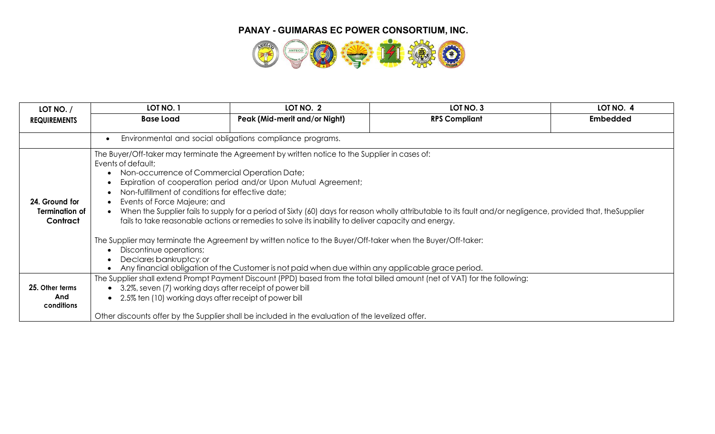

| LOT NO. /                                           | LOT NO. 1                                                                                                                                                                  | LOT NO. 2                                                                                                                                                                                                                                                                                                                                                                                                                                                                                                                                                                                                                                                                                                   | LOT NO. 3            | LOT NO. 4       |
|-----------------------------------------------------|----------------------------------------------------------------------------------------------------------------------------------------------------------------------------|-------------------------------------------------------------------------------------------------------------------------------------------------------------------------------------------------------------------------------------------------------------------------------------------------------------------------------------------------------------------------------------------------------------------------------------------------------------------------------------------------------------------------------------------------------------------------------------------------------------------------------------------------------------------------------------------------------------|----------------------|-----------------|
| <b>REQUIREMENTS</b>                                 | <b>Base Load</b>                                                                                                                                                           | Peak (Mid-merit and/or Night)                                                                                                                                                                                                                                                                                                                                                                                                                                                                                                                                                                                                                                                                               | <b>RPS Compliant</b> | <b>Embedded</b> |
|                                                     |                                                                                                                                                                            | Environmental and social obligations compliance programs.                                                                                                                                                                                                                                                                                                                                                                                                                                                                                                                                                                                                                                                   |                      |                 |
| 24. Ground for<br><b>Termination of</b><br>Contract | Events of default;<br>Non-fulfillment of conditions for effective date;<br>Events of Force Majeure; and<br>$\bullet$<br>Discontinue operations;<br>Declares bankruptcy; or | The Buyer/Off-taker may terminate the Agreement by written notice to the Supplier in cases of:<br>Non-occurrence of Commercial Operation Date;<br>Expiration of cooperation period and/or Upon Mutual Agreement;<br>When the Supplier fails to supply for a period of Sixty (60) days for reason wholly attributable to its fault and/or negligence, provided that, the Supplier<br>fails to take reasonable actions or remedies to solve its inability to deliver capacity and energy.<br>The Supplier may terminate the Agreement by written notice to the Buyer/Off-taker when the Buyer/Off-taker:<br>Any financial obligation of the Customer is not paid when due within any applicable grace period. |                      |                 |
| 25. Other terms                                     |                                                                                                                                                                            | The Supplier shall extend Prompt Payment Discount (PPD) based from the total billed amount (net of VAT) for the following:<br>• 3.2%, seven (7) working days after receipt of power bill                                                                                                                                                                                                                                                                                                                                                                                                                                                                                                                    |                      |                 |
| And<br>conditions                                   | $\bullet$                                                                                                                                                                  | 2.5% ten (10) working days after receipt of power bill                                                                                                                                                                                                                                                                                                                                                                                                                                                                                                                                                                                                                                                      |                      |                 |
|                                                     |                                                                                                                                                                            | Other discounts offer by the Supplier shall be included in the evaluation of the levelized offer.                                                                                                                                                                                                                                                                                                                                                                                                                                                                                                                                                                                                           |                      |                 |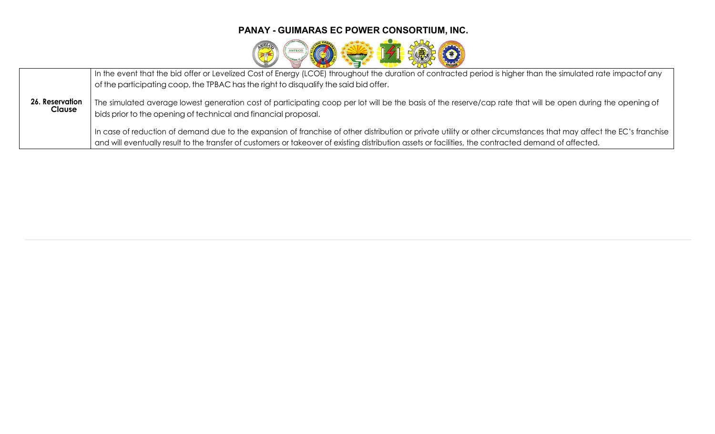

|                                  | In the event that the bid offer or Levelized Cost of Energy (LCOE) throughout the duration of contracted period is higher than the simulated rate impactof any<br>of the participating coop, the TPBAC has the right to disqualify the said bid offer.                                                                       |
|----------------------------------|------------------------------------------------------------------------------------------------------------------------------------------------------------------------------------------------------------------------------------------------------------------------------------------------------------------------------|
| 26. Reservation<br><b>Clause</b> | The simulated average lowest generation cost of participating coop per lot will be the basis of the reserve/cap rate that will be open during the opening of<br>bids prior to the opening of technical and financial proposal.                                                                                               |
|                                  | In case of reduction of demand due to the expansion of franchise of other distribution or private utility or other circumstances that may affect the EC's franchise<br>and will eventually result to the transfer of customers or takeover of existing distribution assets or facilities, the contracted demand of affected. |